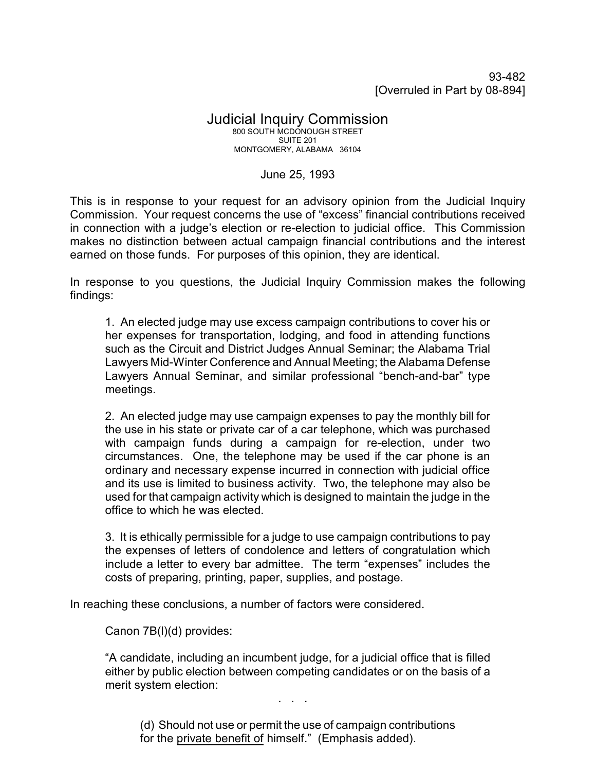93-482 [Overruled in Part by 08-894]

## Judicial Inquiry Commission 800 SOUTH MCDONOUGH STREET SUITE 201 MONTGOMERY, ALABAMA 36104

## June 25, 1993

This is in response to your request for an advisory opinion from the Judicial Inquiry Commission. Your request concerns the use of "excess" financial contributions received in connection with a judge's election or re-election to judicial office. This Commission makes no distinction between actual campaign financial contributions and the interest earned on those funds. For purposes of this opinion, they are identical.

In response to you questions, the Judicial Inquiry Commission makes the following findings:

1. An elected judge may use excess campaign contributions to cover his or her expenses for transportation, lodging, and food in attending functions such as the Circuit and District Judges Annual Seminar; the Alabama Trial Lawyers Mid-Winter Conference and Annual Meeting; the Alabama Defense Lawyers Annual Seminar, and similar professional "bench-and-bar" type meetings.

2. An elected judge may use campaign expenses to pay the monthly bill for the use in his state or private car of a car telephone, which was purchased with campaign funds during a campaign for re-election, under two circumstances. One, the telephone may be used if the car phone is an ordinary and necessary expense incurred in connection with judicial office and its use is limited to business activity. Two, the telephone may also be used for that campaign activity which is designed to maintain the judge in the office to which he was elected.

3. It is ethically permissible for a judge to use campaign contributions to pay the expenses of letters of condolence and letters of congratulation which include a letter to every bar admittee. The term "expenses" includes the costs of preparing, printing, paper, supplies, and postage.

In reaching these conclusions, a number of factors were considered.

Canon 7B(l)(d) provides:

"A candidate, including an incumbent judge, for a judicial office that is filled either by public election between competing candidates or on the basis of a merit system election:

. . .

(d) Should not use or permit the use of campaign contributions for the private benefit of himself." (Emphasis added).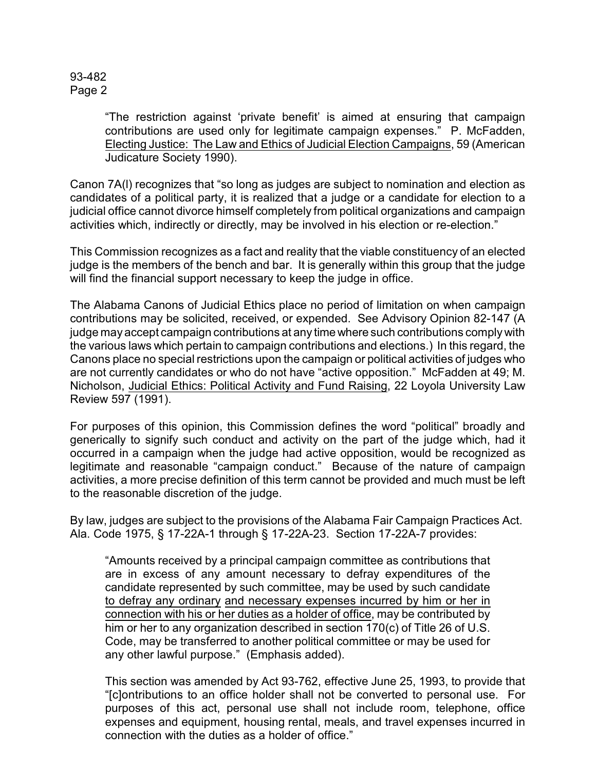93-482 Page 2

> "The restriction against 'private benefit' is aimed at ensuring that campaign contributions are used only for legitimate campaign expenses." P. McFadden, Electing Justice: The Law and Ethics of Judicial Election Campaigns, 59 (American Judicature Society 1990).

Canon 7A(l) recognizes that "so long as judges are subject to nomination and election as candidates of a political party, it is realized that a judge or a candidate for election to a judicial office cannot divorce himself completely from political organizations and campaign activities which, indirectly or directly, may be involved in his election or re-election."

This Commission recognizes as a fact and reality that the viable constituency of an elected judge is the members of the bench and bar. It is generally within this group that the judge will find the financial support necessary to keep the judge in office.

The Alabama Canons of Judicial Ethics place no period of limitation on when campaign contributions may be solicited, received, or expended. See Advisory Opinion 82-147 (A judge may accept campaign contributions at any time where such contributions comply with the various laws which pertain to campaign contributions and elections.) In this regard, the Canons place no special restrictions upon the campaign or political activities of judges who are not currently candidates or who do not have "active opposition." McFadden at 49; M. Nicholson, Judicial Ethics: Political Activity and Fund Raising, 22 Loyola University Law Review 597 (1991).

For purposes of this opinion, this Commission defines the word "political" broadly and generically to signify such conduct and activity on the part of the judge which, had it occurred in a campaign when the judge had active opposition, would be recognized as legitimate and reasonable "campaign conduct." Because of the nature of campaign activities, a more precise definition of this term cannot be provided and much must be left to the reasonable discretion of the judge.

By law, judges are subject to the provisions of the Alabama Fair Campaign Practices Act. Ala. Code 1975, § 17-22A-1 through § 17-22A-23. Section 17-22A-7 provides:

"Amounts received by a principal campaign committee as contributions that are in excess of any amount necessary to defray expenditures of the candidate represented by such committee, may be used by such candidate to defray any ordinary and necessary expenses incurred by him or her in connection with his or her duties as a holder of office, may be contributed by him or her to any organization described in section 170(c) of Title 26 of U.S. Code, may be transferred to another political committee or may be used for any other lawful purpose." (Emphasis added).

This section was amended by Act 93-762, effective June 25, 1993, to provide that "[c]ontributions to an office holder shall not be converted to personal use. For purposes of this act, personal use shall not include room, telephone, office expenses and equipment, housing rental, meals, and travel expenses incurred in connection with the duties as a holder of office."